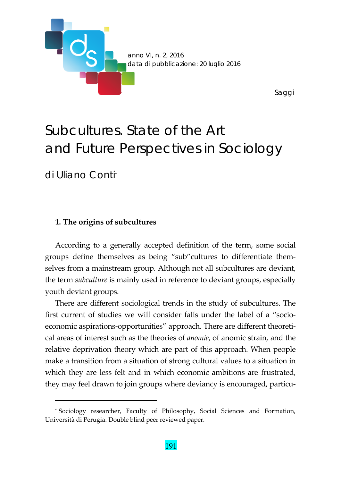

# *Subcultures*. State of the Art and Future Perspectives in Sociology

di Uliano Conti\*

#### **1. The origins of subcultures**

<u> 1989 - Johann Barn, mars ar breithinn ar chuid ann an t-</u>

According to a generally accepted definition of the term, some social groups define themselves as being "sub"cultures to differentiate them‐ selves from a mainstream group. Although not all subcultures are deviant, the term *subculture* is mainly used in reference to deviant groups, especially youth deviant groups.

There are different sociological trends in the study of subcultures. The first current of studies we will consider falls under the label of a "socioeconomic aspirations-opportunities" approach. There are different theoretical areas of interest such as the theories of *anomie*, of anomic strain, and the relative deprivation theory which are part of this approach. When people make a transition from a situation of strong cultural values to a situation in which they are less felt and in which economic ambitions are frustrated, they may feel drawn to join groups where deviancy is encouraged, particu-

<sup>\*</sup> Sociology researcher, Faculty of Philosophy, Social Sciences and Formation, Università di Perugia. Double blind peer reviewed paper.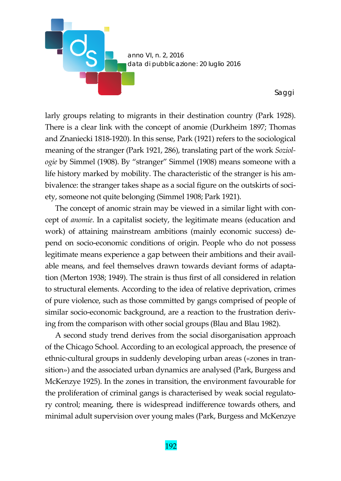

larly groups relating to migrants in their destination country (Park 1928). There is a clear link with the concept of anomie (Durkheim 1897; Thomas and Znaniecki 1818‐1920). In this sense, Park (1921) refers to the sociological meaning of the stranger (Park 1921, 286), translating part of the work *Soziol‐ ogie* by Simmel (1908). By "stranger" Simmel (1908) means someone with a life history marked by mobility. The characteristic of the stranger is his am‐ bivalence: the stranger takes shape as a social figure on the outskirts of society, someone not quite belonging (Simmel 1908; Park 1921).

The concept of anomic strain may be viewed in a similar light with concept of *anomie*. In a capitalist society, the legitimate means (education and work) of attaining mainstream ambitions (mainly economic success) de‐ pend on socio‐economic conditions of origin. People who do not possess legitimate means experience a gap between their ambitions and their avail‐ able means, and feel themselves drawn towards deviant forms of adapta‐ tion (Merton 1938; 1949). The strain is thus first of all considered in relation to structural elements. According to the idea of relative deprivation, crimes of pure violence, such as those committed by gangs comprised of people of similar socio-economic background, are a reaction to the frustration deriving from the comparison with other social groups (Blau and Blau 1982).

A second study trend derives from the social disorganisation approach of the Chicago School. According to an ecological approach, the presence of ethnic-cultural groups in suddenly developing urban areas («zones in transition») and the associated urban dynamics are analysed (Park, Burgess and McKenzye 1925). In the zones in transition, the environment favourable for the proliferation of criminal gangs is characterised by weak social regulato‐ ry control; meaning, there is widespread indifference towards others, and minimal adult supervision over young males (Park, Burgess and McKenzye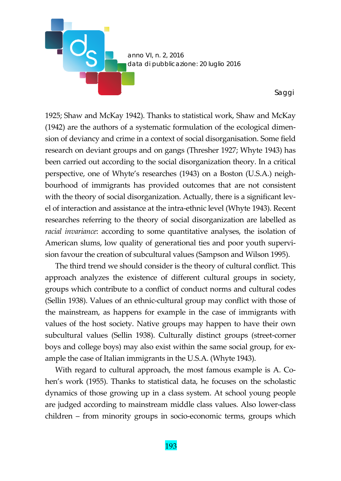

1925; Shaw and McKay 1942). Thanks to statistical work, Shaw and McKay (1942) are the authors of a systematic formulation of the ecological dimen‐ sion of deviancy and crime in a context of social disorganisation. Some field research on deviant groups and on gangs (Thresher 1927; Whyte 1943) has been carried out according to the social disorganization theory. In a critical perspective, one of Whyte's researches (1943) on a Boston (U.S.A.) neigh‐ bourhood of immigrants has provided outcomes that are not consistent with the theory of social disorganization. Actually, there is a significant level of interaction and assistance at the intra‐ethnic level (Whyte 1943). Recent researches referring to the theory of social disorganization are labelled as *racial invariance*: according to some quantitative analyses, the isolation of American slums, low quality of generational ties and poor youth supervi‐ sion favour the creation of subcultural values (Sampson and Wilson 1995).

The third trend we should consider is the theory of cultural conflict. This approach analyzes the existence of different cultural groups in society, groups which contribute to a conflict of conduct norms and cultural codes (Sellin 1938). Values of an ethnic‐cultural group may conflict with those of the mainstream, as happens for example in the case of immigrants with values of the host society. Native groups may happen to have their own subcultural values (Sellin 1938). Culturally distinct groups (street‐corner boys and college boys) may also exist within the same social group, for ex‐ ample the case of Italian immigrants in the U.S.A. (Whyte 1943).

With regard to cultural approach, the most famous example is A. Cohen's work (1955). Thanks to statistical data, he focuses on the scholastic dynamics of those growing up in a class system. At school young people are judged according to mainstream middle class values. Also lower‐class children – from minority groups in socio-economic terms, groups which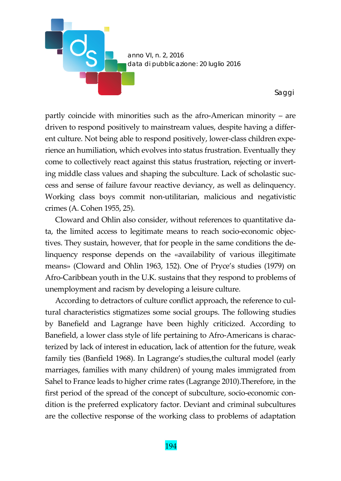

partly coincide with minorities such as the afro‐American minority – are driven to respond positively to mainstream values, despite having a differ‐ ent culture. Not being able to respond positively, lower-class children experience an humiliation, which evolves into status frustration. Eventually they come to collectively react against this status frustration, rejecting or invert‐ ing middle class values and shaping the subculture. Lack of scholastic success and sense of failure favour reactive deviancy, as well as delinquency. Working class boys commit non‐utilitarian, malicious and negativistic crimes (A. Cohen 1955, 25).

Cloward and Ohlin also consider, without references to quantitative da‐ ta, the limited access to legitimate means to reach socio‐economic objec‐ tives. They sustain, however, that for people in the same conditions the de‐ linquency response depends on the «availability of various illegitimate means» (Cloward and Ohlin 1963, 152). One of Pryce's studies (1979) on Afro‐Caribbean youth in the U.K. sustains that they respond to problems of unemployment and racism by developing a leisure culture.

According to detractors of culture conflict approach, the reference to cultural characteristics stigmatizes some social groups. The following studies by Banefield and Lagrange have been highly criticized. According to Banefield, a lower class style of life pertaining to Afro‐Americans is charac‐ terized by lack of interest in education, lack of attention for the future, weak family ties (Banfield 1968). In Lagrange's studies,the cultural model (early marriages, families with many children) of young males immigrated from Sahel to France leads to higher crime rates (Lagrange 2010).Therefore, in the first period of the spread of the concept of subculture, socio-economic condition is the preferred explicatory factor. Deviant and criminal subcultures are the collective response of the working class to problems of adaptation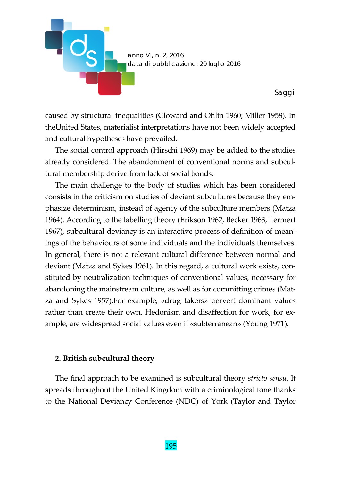

caused by structural inequalities (Cloward and Ohlin 1960; Miller 1958). In theUnited States, materialist interpretations have not been widely accepted and cultural hypotheses have prevailed.

The social control approach (Hirschi 1969) may be added to the studies already considered. The abandonment of conventional norms and subcul‐ tural membership derive from lack of social bonds.

The main challenge to the body of studies which has been considered consists in the criticism on studies of deviant subcultures because they em‐ phasize determinism, instead of agency of the subculture members (Matza 1964). According to the labelling theory (Erikson 1962, Becker 1963, Lermert 1967), subcultural deviancy is an interactive process of definition of mean‐ ings of the behaviours of some individuals and the individuals themselves. In general, there is not a relevant cultural difference between normal and deviant (Matza and Sykes 1961). In this regard, a cultural work exists, con‐ stituted by neutralization techniques of conventional values, necessary for abandoning the mainstream culture, as well as for committing crimes (Mat‐ za and Sykes 1957).For example, «drug takers» pervert dominant values rather than create their own. Hedonism and disaffection for work, for example, are widespread social values even if «subterranean» (Young 1971).

## **2. British subcultural theory**

The final approach to be examined is subcultural theory *stricto sensu*. It spreads throughout the United Kingdom with a criminological tone thanks to the National Deviancy Conference (NDC) of York (Taylor and Taylor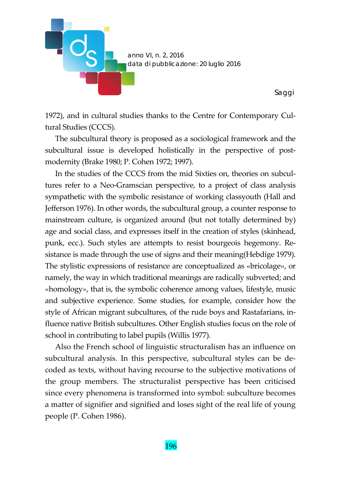

1972), and in cultural studies thanks to the Centre for Contemporary Cul‐ tural Studies (CCCS).

The subcultural theory is proposed as a sociological framework and the subcultural issue is developed holistically in the perspective of postmodernity (Brake 1980; P. Cohen 1972; 1997).

In the studies of the CCCS from the mid Sixties on, theories on subcultures refer to a Neo‐Gramscian perspective, to a project of class analysis sympathetic with the symbolic resistance of working classyouth (Hall and Jefferson 1976). In other words, the subcultural group, a counter response to mainstream culture, is organized around (but not totally determined by) age and social class, and expresses itself in the creation of styles (skinhead, punk, ecc.). Such styles are attempts to resist bourgeois hegemony. Re‐ sistance is made through the use of signs and their meaning(Hebdige 1979). The stylistic expressions of resistance are conceptualized as «bricolage», or namely, the way in which traditional meanings are radically subverted; and «homology», that is, the symbolic coherence among values, lifestyle, music and subjective experience. Some studies, for example, consider how the style of African migrant subcultures, of the rude boys and Rastafarians, in‐ fluence native British subcultures. Other English studies focus on the role of school in contributing to label pupils (Willis 1977).

Also the French school of linguistic structuralism has an influence on subcultural analysis. In this perspective, subcultural styles can be de‐ coded as texts, without having recourse to the subjective motivations of the group members. The structuralist perspective has been criticised since every phenomena is transformed into symbol: subculture becomes a matter of signifier and signified and loses sight of the real life of young people (P. Cohen 1986).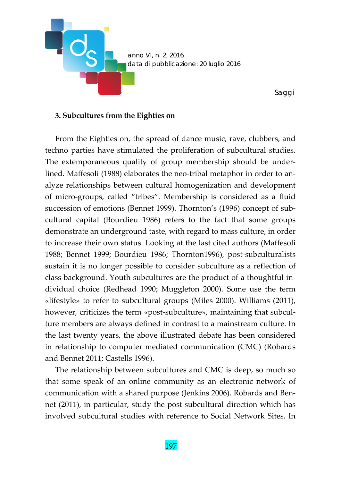

*Saggi* 

#### **3. Subcultures from the Eighties on**

From the Eighties on, the spread of dance music, rave, clubbers, and techno parties have stimulated the proliferation of subcultural studies. The extemporaneous quality of group membership should be under‐ lined. Maffesoli (1988) elaborates the neo-tribal metaphor in order to analyze relationships between cultural homogenization and development of micro‐groups, called "tribes". Membership is considered as a fluid succession of emotions (Bennet 1999). Thornton's (1996) concept of subcultural capital (Bourdieu 1986) refers to the fact that some groups demonstrate an underground taste, with regard to mass culture, in order to increase their own status. Looking at the last cited authors (Maffesoli 1988; Bennet 1999; Bourdieu 1986; Thornton1996), post‐subculturalists sustain it is no longer possible to consider subculture as a reflection of class background. Youth subcultures are the product of a thoughtful in‐ dividual choice (Redhead 1990; Muggleton 2000). Some use the term «lifestyle» to refer to subcultural groups (Miles 2000). Williams (2011), however, criticizes the term «post-subculture», maintaining that subculture members are always defined in contrast to a mainstream culture. In the last twenty years, the above illustrated debate has been considered in relationship to computer mediated communication (CMC) (Robards and Bennet 2011; Castells 1996).

The relationship between subcultures and CMC is deep, so much so that some speak of an online community as an electronic network of communication with a shared purpose (Jenkins 2006). Robards and Ben‐ net (2011), in particular, study the post-subcultural direction which has involved subcultural studies with reference to Social Network Sites. In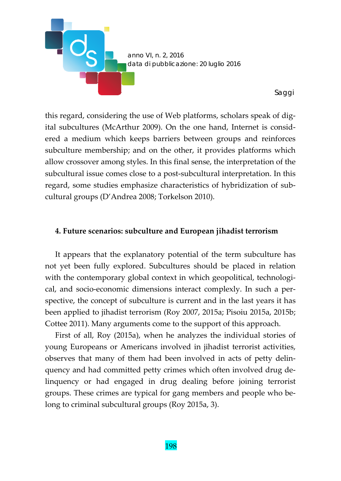

this regard, considering the use of Web platforms, scholars speak of dig‐ ital subcultures (McArthur 2009). On the one hand, Internet is consid‐ ered a medium which keeps barriers between groups and reinforces subculture membership; and on the other, it provides platforms which allow crossover among styles. In this final sense, the interpretation of the subcultural issue comes close to a post‐subcultural interpretation. In this regard, some studies emphasize characteristics of hybridization of sub‐ cultural groups (D'Andrea 2008; Torkelson 2010).

#### **4. Future scenarios: subculture and European jihadist terrorism**

It appears that the explanatory potential of the term subculture has not yet been fully explored. Subcultures should be placed in relation with the contemporary global context in which geopolitical, technological, and socio‐economic dimensions interact complexly. In such a per‐ spective, the concept of subculture is current and in the last years it has been applied to jihadist terrorism (Roy 2007, 2015a; Pisoiu 2015a, 2015b; Cottee 2011). Many arguments come to the support of this approach.

First of all, Roy (2015a), when he analyzes the individual stories of young Europeans or Americans involved in jihadist terrorist activities, observes that many of them had been involved in acts of petty delin‐ quency and had committed petty crimes which often involved drug de‐ linquency or had engaged in drug dealing before joining terrorist groups. These crimes are typical for gang members and people who be‐ long to criminal subcultural groups (Roy 2015a, 3).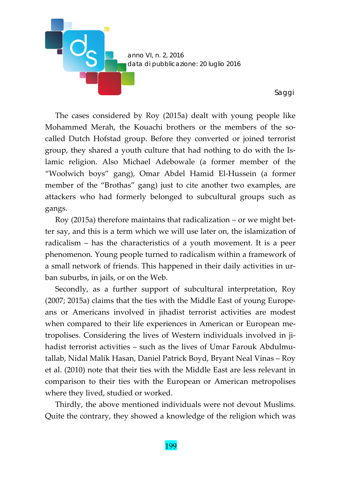

The cases considered by Roy (2015a) dealt with young people like Mohammed Merah, the Kouachi brothers or the members of the so‐ called Dutch Hofstad group. Before they converted or joined terrorist group, they shared a youth culture that had nothing to do with the Is‐ lamic religion. Also Michael Adebowale (a former member of the "Woolwich boys" gang), Omar Abdel Hamid El‐Hussein (a former member of the "Brothas" gang) just to cite another two examples, are attackers who had formerly belonged to subcultural groups such as gangs.

Roy (2015a) therefore maintains that radicalization – or we might bet‐ ter say, and this is a term which we will use later on, the islamization of radicalism – has the characteristics of a youth movement. It is a peer phenomenon. Young people turned to radicalism within a framework of a small network of friends. This happened in their daily activities in ur‐ ban suburbs, in jails, or on the Web.

Secondly, as a further support of subcultural interpretation, Roy (2007; 2015a) claims that the ties with the Middle East of young Europe‐ ans or Americans involved in jihadist terrorist activities are modest when compared to their life experiences in American or European metropolises. Considering the lives of Western individuals involved in ji‐ hadist terrorist activities – such as the lives of Umar Farouk Abdulmutallab, Nidal Malik Hasan, Daniel Patrick Boyd, Bryant Neal Vinas – Roy et al. (2010) note that their ties with the Middle East are less relevant in comparison to their ties with the European or American metropolises where they lived, studied or worked.

Thirdly, the above mentioned individuals were not devout Muslims. Quite the contrary, they showed a knowledge of the religion which was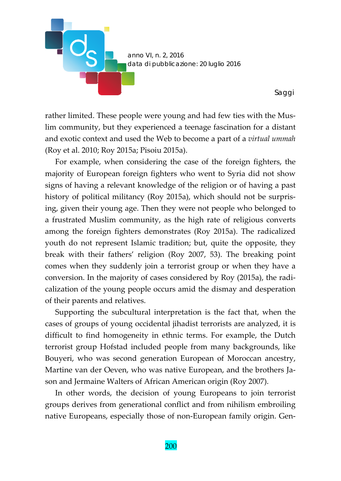

rather limited. These people were young and had few ties with the Muslim community, but they experienced a teenage fascination for a distant and exotic context and used the Web to become a part of a *virtual ummah* (Roy et al. 2010; Roy 2015a; Pisoiu 2015a).

For example, when considering the case of the foreign fighters, the majority of European foreign fighters who went to Syria did not show signs of having a relevant knowledge of the religion or of having a past history of political militancy (Roy 2015a), which should not be surprising, given their young age. Then they were not people who belonged to a frustrated Muslim community, as the high rate of religious converts among the foreign fighters demonstrates (Roy 2015a). The radicalized youth do not represent Islamic tradition; but, quite the opposite, they break with their fathers' religion (Roy 2007, 53). The breaking point comes when they suddenly join a terrorist group or when they have a conversion. In the majority of cases considered by Roy (2015a), the radi‐ calization of the young people occurs amid the dismay and desperation of their parents and relatives.

Supporting the subcultural interpretation is the fact that, when the cases of groups of young occidental jihadist terrorists are analyzed, it is difficult to find homogeneity in ethnic terms. For example, the Dutch terrorist group Hofstad included people from many backgrounds, like Bouyeri, who was second generation European of Moroccan ancestry, Martine van der Oeven, who was native European, and the brothers Ja‐ son and Jermaine Walters of African American origin (Roy 2007).

In other words, the decision of young Europeans to join terrorist groups derives from generational conflict and from nihilism embroiling native Europeans, especially those of non‐European family origin. Gen‐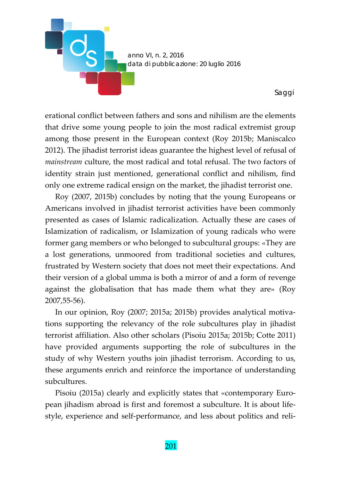

erational conflict between fathers and sons and nihilism are the elements that drive some young people to join the most radical extremist group among those present in the European context (Roy 2015b; Maniscalco 2012). The jihadist terrorist ideas guarantee the highest level of refusal of *mainstream* culture, the most radical and total refusal. The two factors of identity strain just mentioned, generational conflict and nihilism, find only one extreme radical ensign on the market, the jihadist terrorist one.

Roy (2007, 2015b) concludes by noting that the young Europeans or Americans involved in jihadist terrorist activities have been commonly presented as cases of Islamic radicalization. Actually these are cases of Islamization of radicalism, or Islamization of young radicals who were former gang members or who belonged to subcultural groups: «They are a lost generations, unmoored from traditional societies and cultures, frustrated by Western society that does not meet their expectations. And their version of a global umma is both a mirror of and a form of revenge against the globalisation that has made them what they are» (Roy 2007,55‐56).

In our opinion, Roy (2007; 2015a; 2015b) provides analytical motiva‐ tions supporting the relevancy of the role subcultures play in jihadist terrorist affiliation. Also other scholars (Pisoiu 2015a; 2015b; Cotte 2011) have provided arguments supporting the role of subcultures in the study of why Western youths join jihadist terrorism. According to us, these arguments enrich and reinforce the importance of understanding subcultures.

Pisoiu (2015a) clearly and explicitly states that «contemporary Euro‐ pean jihadism abroad is first and foremost a subculture. It is about lifestyle, experience and self‐performance, and less about politics and reli‐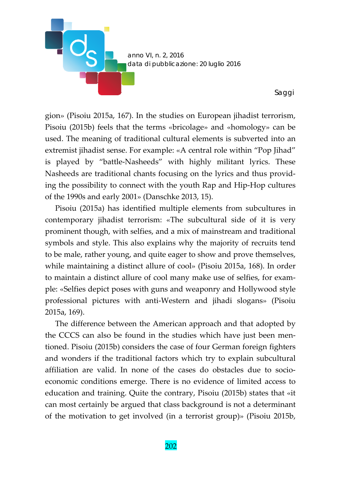

gion» (Pisoiu 2015a, 167). In the studies on European jihadist terrorism, Pisoiu (2015b) feels that the terms «bricolage» and «homology» can be used. The meaning of traditional cultural elements is subverted into an extremist jihadist sense. For example: «A central role within "Pop Jihad" is played by "battle‐Nasheeds" with highly militant lyrics. These Nasheeds are traditional chants focusing on the lyrics and thus provid‐ ing the possibility to connect with the youth Rap and Hip‐Hop cultures of the 1990s and early 2001» (Danschke 2013, 15).

Pisoiu (2015a) has identified multiple elements from subcultures in contemporary jihadist terrorism: «The subcultural side of it is very prominent though, with selfies, and a mix of mainstream and traditional symbols and style. This also explains why the majority of recruits tend to be male, rather young, and quite eager to show and prove themselves, while maintaining a distinct allure of cool» (Pisoiu 2015a, 168). In order to maintain a distinct allure of cool many make use of selfies, for exam‐ ple: «Selfies depict poses with guns and weaponry and Hollywood style professional pictures with anti‐Western and jihadi slogans» (Pisoiu 2015a, 169).

The difference between the American approach and that adopted by the CCCS can also be found in the studies which have just been men‐ tioned. Pisoiu (2015b) considers the case of four German foreign fighters and wonders if the traditional factors which try to explain subcultural affiliation are valid. In none of the cases do obstacles due to socio‐ economic conditions emerge. There is no evidence of limited access to education and training. Quite the contrary, Pisoiu (2015b) states that «it can most certainly be argued that class background is not a determinant of the motivation to get involved (in a terrorist group)» (Pisoiu 2015b,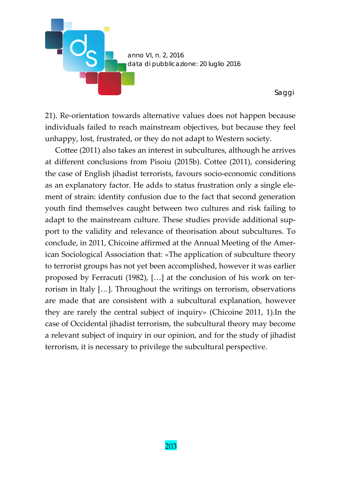

21). Re‐orientation towards alternative values does not happen because individuals failed to reach mainstream objectives, but because they feel unhappy, lost, frustrated, or they do not adapt to Western society.

Cottee (2011) also takes an interest in subcultures, although he arrives at different conclusions from Pisoiu (2015b). Cottee (2011), considering the case of English jihadist terrorists, favours socio‐economic conditions as an explanatory factor. He adds to status frustration only a single ele‐ ment of strain: identity confusion due to the fact that second generation youth find themselves caught between two cultures and risk failing to adapt to the mainstream culture. These studies provide additional sup‐ port to the validity and relevance of theorisation about subcultures. To conclude, in 2011, Chicoine affirmed at the Annual Meeting of the Amer‐ ican Sociological Association that: «The application of subculture theory to terrorist groups has not yet been accomplished, however it was earlier proposed by Ferracuti (1982), […] at the conclusion of his work on ter‐ rorism in Italy […]. Throughout the writings on terrorism, observations are made that are consistent with a subcultural explanation, however they are rarely the central subject of inquiry» (Chicoine 2011, 1).In the case of Occidental jihadist terrorism, the subcultural theory may become a relevant subject of inquiry in our opinion, and for the study of jihadist terrorism, it is necessary to privilege the subcultural perspective.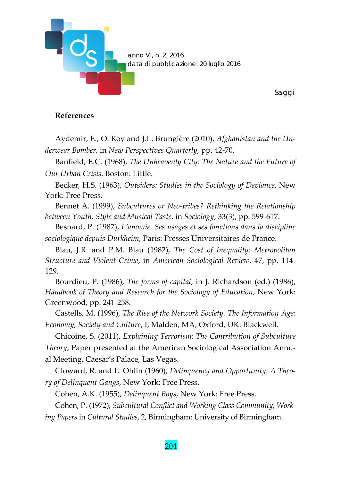

## **References**

Aydemir, E., O. Roy and J.L. Brungière (2010), *Afghanistan and the Un‐ derwear Bomber,* in *New Perspectives Quarterly*, pp. 42‐70.

Banfield, E.C. (1968), *The Unheavenly City: The Nature and the Future of Our Urban Crisis*, Boston: Little.

Becker, H.S. (1963), *Outsiders: Studies in the Sociology of Deviance*, New York: Free Press.

Bennet A. (1999), *Subcultures or Neo‐tribes? Rethinking the Relationship between Youth, Style and Musical Taste*, in *Sociology*, 33(3), pp. 599‐617.

Besnard, P. (1987), *L'anomie. Ses usages et ses fonctions dans la discipline sociologique depuis Durkheim*, Paris: Presses Universitaires de France.

Blau, J.R. and P.M. Blau (1982), *The Cost of Inequality: Metropolitan Structure and Violent Crime*, in *American Sociological Review*, 47, pp. 114‐ 129.

Bourdieu, P. (1986), *The forms of capital*, in J. Richardson (ed.) (1986), *Handbook of Theory and Research for the Sociology of Education*, New York: Greenwood, pp. 241‐258.

Castells, M. (1996), *The Rise of the Network Society. The Information Age: Economy, Society and Culture*, I, Malden, MA; Oxford, UK: Blackwell.

Chicoine, S. (2011), *Explaining Terrorism: The Contribution of Subculture Theory*, Paper presented at the American Sociological Association Annu‐ al Meeting, Caesar's Palace, Las Vegas.

Cloward, R. and L. Ohlin (1960), *Delinquency and Opportunity: A Theo‐ ry of Delinquent Gangs*, New York: Free Press.

Cohen, A.K. (1955), *Delinquent Boys*, New York: Free Press.

Cohen, P. (1972), *Subcultural Conflict and Working Class Community*, *Work‐*

*ing Papers* in *Cultural Studies*, 2, Birmingham: University of Birmingham.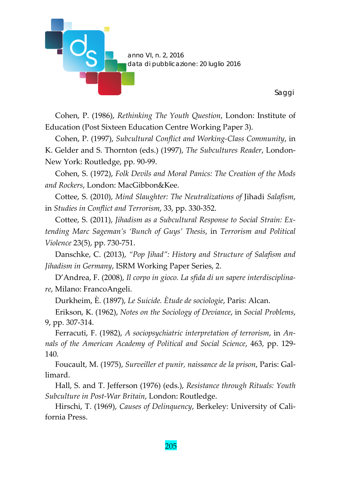

Cohen, P. (1986), *Rethinking The Youth Question*, London: Institute of Education (Post Sixteen Education Centre Working Paper 3).

Cohen, P. (1997), *Subcultural Conflict and Working‐Class Community*, in K. Gelder and S. Thornton (eds.) (1997), *The Subcultures Reader*, London‐ New York: Routledge, pp. 90‐99.

Cohen, S. (1972), *Folk Devils and Moral Panics: The Creation of the Mods and Rockers*, London: MacGibbon&Kee.

Cottee, S. (2010), *Mind Slaughter: The Neutralizations of* Jihadi *Salafism*, in *Studies in Conflict and Terrorism*, 33, pp. 330‐352.

Cottee, S. (2011), *Jihadism as a Subcultural Response to Social Strain: Ex‐ tending Marc Sageman's 'Bunch of Guys' Thesis*, in *Terrorism and Political Violence* 23(5), pp. 730‐751.

Danschke, C. (2013), *"Pop Jihad": History and Structure of Salafism and Jihadism in Germany*, ISRM Working Paper Series, 2.

D'Andrea, F. (2008), *Il corpo in gioco. La sfida di un sapere interdisciplina‐ re*, Milano: FrancoAngeli.

Durkheim, È. (1897), *Le Suicide. Ètude de sociologie*, Paris: Alcan.

Erikson, K. (1962), *Notes on the Sociology of Deviance*, in *Social Problems*, 9, pp. 307‐314.

Ferracuti, F. (1982), *A sociopsychiatric interpretation of terrorism*, in *An‐ nals of the American Academy of Political and Social Science*, 463, pp. 129‐ 140.

Foucault, M. (1975), *Surveiller et punir, naissance de la prison*, Paris: Gal‐ limard.

Hall, S. and T. Jefferson (1976) (eds.), *Resistance through Rituals: Youth Subculture in Post‐War Britain*, London: Routledge.

Hirschi, T. (1969), *Causes of Delinquency*, Berkeley: University of Cali‐ fornia Press.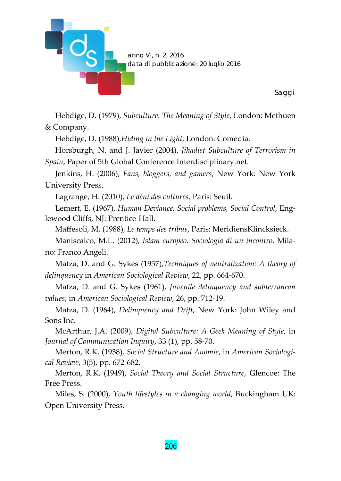

Hebdige, D. (1979), *Subculture. The Meaning of Style*, London: Methuen & Company.

Hebdige, D. (1988),*Hiding in the Light*, London: Comedia.

Horsburgh, N. and J. Javier (2004), *Jihadist Subculture of Terrorism in Spain*, Paper of 5th Global Conference Interdisciplinary.net.

Jenkins, H. (2006), *Fans, bloggers, and gamers*, New York: New York University Press.

Lagrange, H. (2010), *Le déni des cultures*, Paris: Seuil.

Lemert, E. (1967), *Human Deviance, Social problems, Social Control*, Eng‐ lewood Cliffs, NJ: Prentice‐Hall.

Maffesoli, M. (1988), *Le temps des tribus*, Paris: MeridiensKlincksieck.

Maniscalco, M.L. (2012), *Islam europeo. Sociologia di un incontro*, Mila‐ no: Franco Angeli.

Matza, D. and G. Sykes (1957),*Techniques of neutralization: A theory of delinquency* in *American Sociological Review*, 22, pp. 664‐670.

Matza, D. and G. Sykes (1961), *Juvenile delinquency and subterranean values*, in *American Sociological Review*, 26, pp. 712‐19.

Matza, D. (1964), *Delinquency and Drift*, New York: John Wiley and Sons Inc.

McArthur, J.A. (2009), *Digital Subculture: A Geek Meaning of Style*, in *Journal of Communication Inquiry*, 33 (1), pp. 58‐70.

Merton, R.K. (1938), *Social Structure and Anomie*, in *American Sociologi‐ cal Review*, 3(5), pp. 672‐682.

Merton, R.K. (1949), *Social Theory and Social Structure*, Glencoe: The Free Press.

Miles, S. (2000), *Youth lifestyles in a changing world*, Buckingham UK: Open University Press.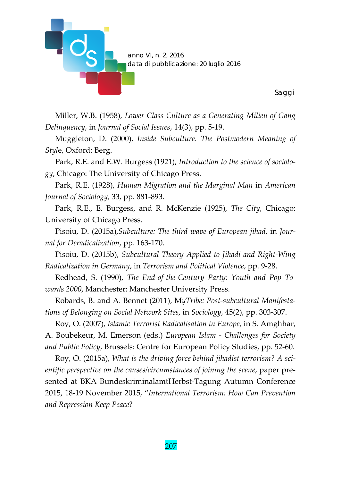

Miller, W.B. (1958), *Lower Class Culture as a Generating Milieu of Gang Delinquency*, in *Journal of Social Issues*, 14(3), pp. 5‐19.

Muggleton, D. (2000), *Inside Subculture. The Postmodern Meaning of Styl*e, Oxford: Berg.

Park, R.E. and E.W. Burgess (1921), *Introduction to the science of sociolo‐ gy*, Chicago: The University of Chicago Press.

Park, R.E. (1928), *Human Migration and the Marginal Man* in *American Journal of Sociology,* 33, pp. 881‐893.

Park, R.E., E. Burgess, and R. McKenzie (1925), *The City*, Chicago: University of Chicago Press.

Pisoiu, D. (2015a),*Subculture: The third wave of European jihad*, in *Jour‐ nal for Deradicalization*, pp. 163‐170.

Pisoiu, D. (2015b), *Subcultural Theory Applied to Jihadi and Right‐Wing Radicalization in Germany*, in *Terrorism and Political Violence*, pp. 9‐28.

Redhead, S. (1990), *The End‐of‐the‐Century Party: Youth and Pop To‐ wards 2000*, Manchester: Manchester University Press.

Robards, B. and A. Bennet (2011), M*yTribe: Post‐subcultural Manifesta‐ tions of Belonging on Social Network Sites*, in *Sociology*, 45(2), pp. 303‐307.

Roy, O. (2007), *Islamic Terrorist Radicalisation in Europe*, in S. Amghhar, A. Boubekeur, M. Emerson (eds.) *European Islam ‐ Challenges for Society and Public Policy*, Brussels: Centre for European Policy Studies, pp. 52‐60.

Roy, O. (2015a), *What is the driving force behind jihadist terrorism? A sci‐ entific perspective on the causes/circumstances of joining the scene*, paper pre‐ sented at BKA BundeskriminalamtHerbst‐Tagung Autumn Conference 2015, 18‐19 November 2015, "*International Terrorism: How Can Prevention and Repression Keep Peace*?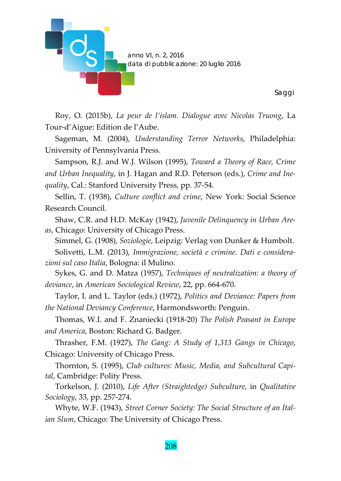

Roy, O. (2015b), *La peur de l'islam. Dialogue avec Nicolas Truong*, La Tour‐d'Aigue: Edition de l'Aube.

Sageman, M. (2004), *Understanding Terror Networks*, Philadelphia: University of Pennsylvania Press.

Sampson, R.J. and W.J. Wilson (1995), *Toward a Theory of Race, Crime and Urban Inequality*, in J. Hagan and R.D. Peterson (eds.), *Crime and Ine‐ quality*, Cal.: Stanford University Press, pp. 37‐54.

Sellin, T. (1938), *Culture conflict and crime*, New York: Social Science Research Council.

Shaw, C.R. and H.D. McKay (1942), *Juvenile Delinquency in Urban Are‐ as*, Chicago: University of Chicago Press.

Simmel, G. (1908), *Soziologie*, Leipzig: Verlag von Dunker & Humbolt.

Solivetti, L.M. (2013), *Immigrazione, società e crimine. Dati e considera‐ zioni sul caso Italia*, Bologna: il Mulino.

Sykes, G. and D. Matza (1957), *Techniques of neutralization: a theory of deviance*, in *American Sociological Review*, 22, pp. 664‐670.

Taylor, I. and L. Taylor (eds.) (1972), *Politics and Deviance: Papers from the National Deviancy Conference*, Harmondsworth: Penguin.

Thomas, W.I. and F. Znaniecki (1918‐20) *The Polish Peasant in Europe and America*, Boston: Richard G. Badger.

Thrasher, F.M. (1927), *The Gang: A Study of 1,313 Gangs in Chicago*, Chicago: University of Chicago Press.

Thornton, S. (1995), *Club cultures: Music, Media, and Subcultural Capi‐ tal*, Cambridge: Polity Press.

Torkelson, J. (2010), *Life After (Straightedge) Subculture*, in *Qualitative Sociology*, 33, pp. 257‐274.

Whyte, W.F. (1943), *Street Corner Society: The Social Structure of an Ital‐ ian Slum*, Chicago: The University of Chicago Press.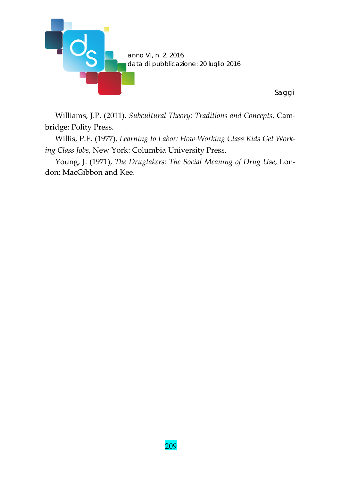

Williams, J.P. (2011), *Subcultural Theory: Traditions and Concepts*, Cam‐ bridge: Polity Press.

*Saggi* 

Willis, P.E. (1977), *Learning to Labor: How Working Class Kids Get Work‐ ing Class Jobs*, New York: Columbia University Press.

Young, J. (1971), *The Drugtakers: The Social Meaning of Drug Use*, Lon‐ don: MacGibbon and Kee.